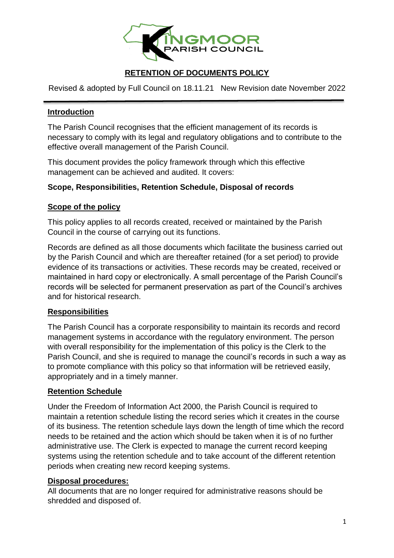

# **RETENTION OF DOCUMENTS POLICY**

Revised & adopted by Full Council on 18.11.21 New Revision date November 2022

## **Introduction**

The Parish Council recognises that the efficient management of its records is necessary to comply with its legal and regulatory obligations and to contribute to the effective overall management of the Parish Council.

This document provides the policy framework through which this effective management can be achieved and audited. It covers:

### **Scope, Responsibilities, Retention Schedule, Disposal of records**

## **Scope of the policy**

This policy applies to all records created, received or maintained by the Parish Council in the course of carrying out its functions.

Records are defined as all those documents which facilitate the business carried out by the Parish Council and which are thereafter retained (for a set period) to provide evidence of its transactions or activities. These records may be created, received or maintained in hard copy or electronically. A small percentage of the Parish Council's records will be selected for permanent preservation as part of the Council's archives and for historical research.

### **Responsibilities**

The Parish Council has a corporate responsibility to maintain its records and record management systems in accordance with the regulatory environment. The person with overall responsibility for the implementation of this policy is the Clerk to the Parish Council, and she is required to manage the council's records in such a way as to promote compliance with this policy so that information will be retrieved easily, appropriately and in a timely manner.

### **Retention Schedule**

Under the Freedom of Information Act 2000, the Parish Council is required to maintain a retention schedule listing the record series which it creates in the course of its business. The retention schedule lays down the length of time which the record needs to be retained and the action which should be taken when it is of no further administrative use. The Clerk is expected to manage the current record keeping systems using the retention schedule and to take account of the different retention periods when creating new record keeping systems.

### **Disposal procedures:**

All documents that are no longer required for administrative reasons should be shredded and disposed of.